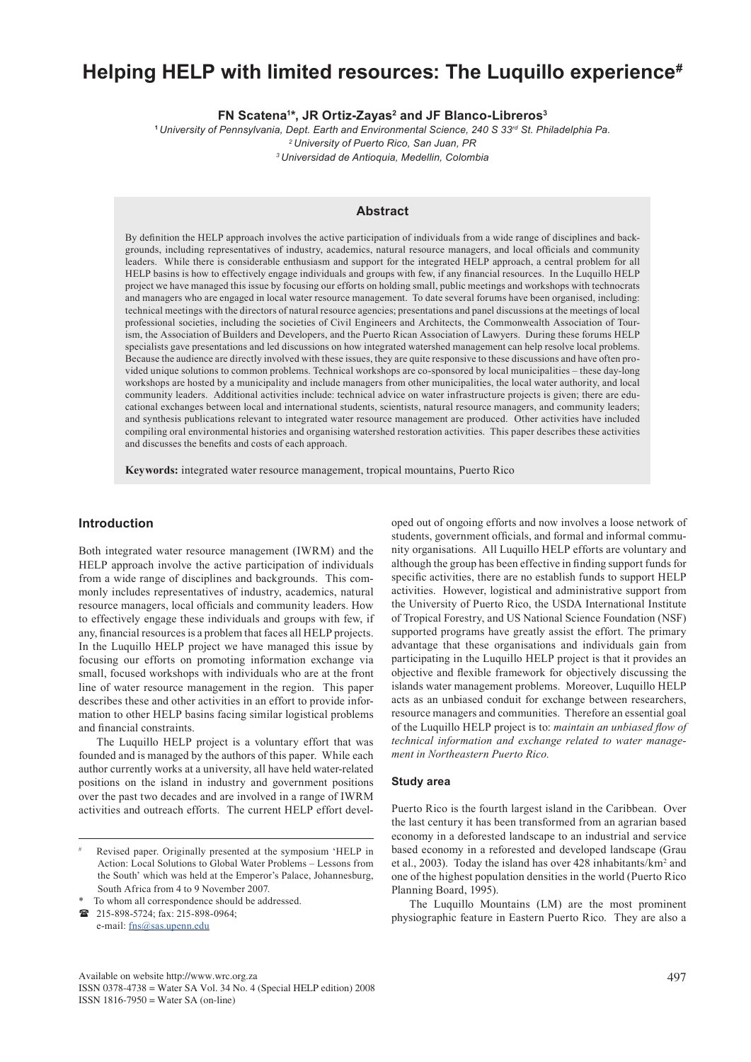# **Helping HELP with limited resources: The Luquillo experience#**

**FN Scatena<sup>1\*</sup>, JR Ortiz-Zayas<sup>2</sup> and JF Blanco-Libreros<sup>3</sup>** 

**<sup>1</sup>***University of Pennsylvania, Dept. Earth and Environmental Science, 240 S 33rd St. Philadelphia Pa. 2 University of Puerto Rico, San Juan, PR 3 Universidad de Antioquia, Medellin, Colombia*

# **Abstract**

By definition the HELP approach involves the active participation of individuals from a wide range of disciplines and backgrounds, including representatives of industry, academics, natural resource managers, and local officials and community leaders. While there is considerable enthusiasm and support for the integrated HELP approach, a central problem for all HELP basins is how to effectively engage individuals and groups with few, if any financial resources. In the Luquillo HELP project we have managed this issue by focusing our efforts on holding small, public meetings and workshops with technocrats and managers who are engaged in local water resource management. To date several forums have been organised, including: technical meetings with the directors of natural resource agencies; presentations and panel discussions at the meetings of local professional societies, including the societies of Civil Engineers and Architects, the Commonwealth Association of Tourism, the Association of Builders and Developers, and the Puerto Rican Association of Lawyers. During these forums HELP specialists gave presentations and led discussions on how integrated watershed management can help resolve local problems. Because the audience are directly involved with these issues, they are quite responsive to these discussions and have often provided unique solutions to common problems. Technical workshops are co-sponsored by local municipalities – these day-long workshops are hosted by a municipality and include managers from other municipalities, the local water authority, and local community leaders. Additional activities include: technical advice on water infrastructure projects is given; there are educational exchanges between local and international students, scientists, natural resource managers, and community leaders; and synthesis publications relevant to integrated water resource management are produced. Other activities have included compiling oral environmental histories and organising watershed restoration activities. This paper describes these activities and discusses the benefits and costs of each approach.

**Keywords:** integrated water resource management, tropical mountains, Puerto Rico

# **Introduction**

Both integrated water resource management (IWRM) and the HELP approach involve the active participation of individuals from a wide range of disciplines and backgrounds. This commonly includes representatives of industry, academics, natural resource managers, local officials and community leaders. How to effectively engage these individuals and groups with few, if any, financial resources is a problem that faces all HELP projects. In the Luquillo HELP project we have managed this issue by focusing our efforts on promoting information exchange via small, focused workshops with individuals who are at the front line of water resource management in the region. This paper describes these and other activities in an effort to provide information to other HELP basins facing similar logistical problems and financial constraints.

The Luquillo HELP project is a voluntary effort that was founded and is managed by the authors of this paper. While each author currently works at a university, all have held water-related positions on the island in industry and government positions over the past two decades and are involved in a range of IWRM activities and outreach efforts. The current HELP effort developed out of ongoing efforts and now involves a loose network of students, government officials, and formal and informal community organisations. All Luquillo HELP efforts are voluntary and although the group has been effective in finding support funds for specific activities, there are no establish funds to support HELP activities. However, logistical and administrative support from the University of Puerto Rico, the USDA International Institute of Tropical Forestry, and US National Science Foundation (NSF) supported programs have greatly assist the effort. The primary advantage that these organisations and individuals gain from participating in the Luquillo HELP project is that it provides an objective and flexible framework for objectively discussing the islands water management problems. Moreover, Luquillo HELP acts as an unbiased conduit for exchange between researchers, resource managers and communities. Therefore an essential goal of the Luquillo HELP project is to: *maintain an unbiased flow of technical information and exchange related to water management in Northeastern Puerto Rico.*

#### **Study area**

Puerto Rico is the fourth largest island in the Caribbean. Over the last century it has been transformed from an agrarian based economy in a deforested landscape to an industrial and service based economy in a reforested and developed landscape (Grau et al., 2003). Today the island has over 428 inhabitants/km<sup>2</sup> and one of the highest population densities in the world (Puerto Rico Planning Board, 1995).

The Luquillo Mountains (LM) are the most prominent physiographic feature in Eastern Puerto Rico. They are also a

Revised paper. Originally presented at the symposium 'HELP in Action: Local Solutions to Global Water Problems – Lessons from the South' which was held at the Emperor's Palace, Johannesburg, South Africa from 4 to 9 November 2007.

To whom all correspondence should be addressed.

215-898-5724; fax: 215-898-0964; e-mail: fns@sas.upenn.edu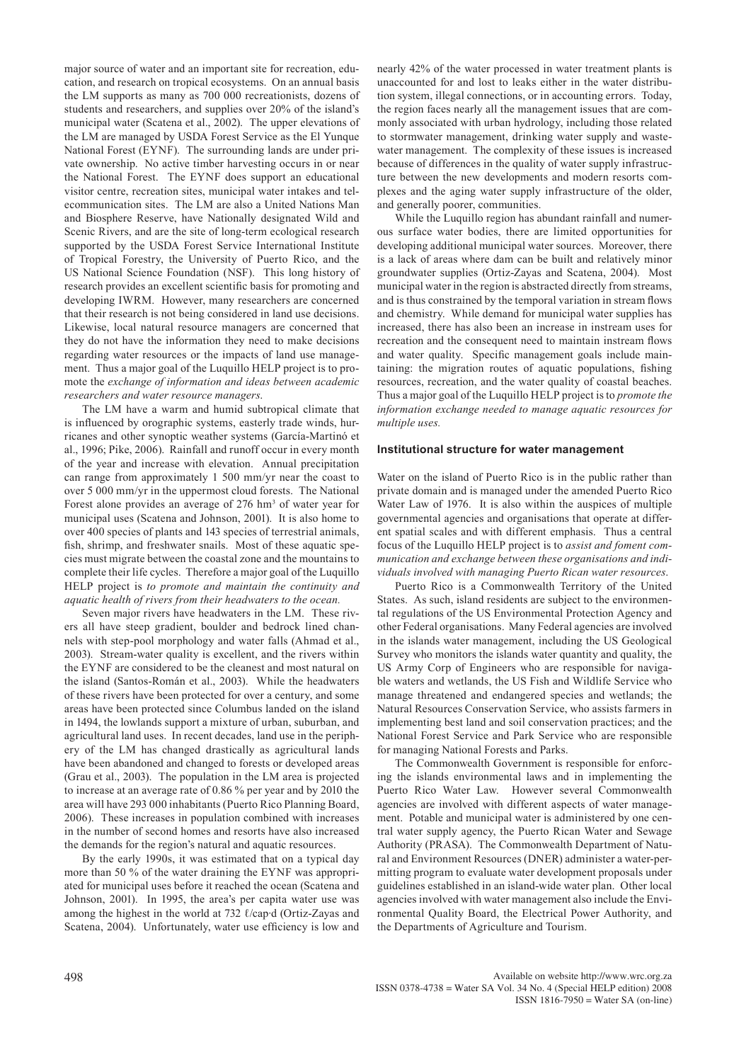major source of water and an important site for recreation, education, and research on tropical ecosystems. On an annual basis the LM supports as many as 700 000 recreationists, dozens of students and researchers, and supplies over 20% of the island's municipal water (Scatena et al., 2002). The upper elevations of the LM are managed by USDA Forest Service as the El Yunque National Forest (EYNF). The surrounding lands are under private ownership. No active timber harvesting occurs in or near the National Forest. The EYNF does support an educational visitor centre, recreation sites, municipal water intakes and telecommunication sites. The LM are also a United Nations Man and Biosphere Reserve, have Nationally designated Wild and Scenic Rivers, and are the site of long-term ecological research supported by the USDA Forest Service International Institute of Tropical Forestry, the University of Puerto Rico, and the US National Science Foundation (NSF). This long history of research provides an excellent scientific basis for promoting and developing IWRM. However, many researchers are concerned that their research is not being considered in land use decisions. Likewise, local natural resource managers are concerned that they do not have the information they need to make decisions regarding water resources or the impacts of land use management. Thus a major goal of the Luquillo HELP project is to promote the *exchange of information and ideas between academic researchers and water resource managers*.

The LM have a warm and humid subtropical climate that is influenced by orographic systems, easterly trade winds, hurricanes and other synoptic weather systems (García-Martinó et al., 1996; Pike, 2006). Rainfall and runoff occur in every month of the year and increase with elevation. Annual precipitation can range from approximately 1 500 mm/yr near the coast to over 5 000 mm/yr in the uppermost cloud forests. The National Forest alone provides an average of 276 hm<sup>3</sup> of water year for municipal uses (Scatena and Johnson, 2001). It is also home to over 400 species of plants and 143 species of terrestrial animals, fish, shrimp, and freshwater snails. Most of these aquatic species must migrate between the coastal zone and the mountains to complete their life cycles. Therefore a major goal of the Luquillo HELP project is *to promote and maintain the continuity and aquatic health of rivers from their headwaters to the ocean.*

Seven major rivers have headwaters in the LM. These rivers all have steep gradient, boulder and bedrock lined channels with step-pool morphology and water falls (Ahmad et al., 2003). Stream-water quality is excellent, and the rivers within the EYNF are considered to be the cleanest and most natural on the island (Santos-Román et al., 2003). While the headwaters of these rivers have been protected for over a century, and some areas have been protected since Columbus landed on the island in 1494, the lowlands support a mixture of urban, suburban, and agricultural land uses. In recent decades, land use in the periphery of the LM has changed drastically as agricultural lands have been abandoned and changed to forests or developed areas (Grau et al., 2003). The population in the LM area is projected to increase at an average rate of 0.86 % per year and by 2010 the area will have 293 000 inhabitants (Puerto Rico Planning Board, 2006). These increases in population combined with increases in the number of second homes and resorts have also increased the demands for the region's natural and aquatic resources.

By the early 1990s, it was estimated that on a typical day more than 50 % of the water draining the EYNF was appropriated for municipal uses before it reached the ocean (Scatena and Johnson, 2001). In 1995, the area's per capita water use was among the highest in the world at 732 ℓ/cap·d (Ortiz-Zayas and Scatena, 2004). Unfortunately, water use efficiency is low and nearly 42% of the water processed in water treatment plants is unaccounted for and lost to leaks either in the water distribution system, illegal connections, or in accounting errors. Today, the region faces nearly all the management issues that are commonly associated with urban hydrology, including those related to stormwater management, drinking water supply and wastewater management. The complexity of these issues is increased because of differences in the quality of water supply infrastructure between the new developments and modern resorts complexes and the aging water supply infrastructure of the older, and generally poorer, communities.

While the Luquillo region has abundant rainfall and numerous surface water bodies, there are limited opportunities for developing additional municipal water sources. Moreover, there is a lack of areas where dam can be built and relatively minor groundwater supplies (Ortiz-Zayas and Scatena, 2004). Most municipal water in the region is abstracted directly from streams, and is thus constrained by the temporal variation in stream flows and chemistry. While demand for municipal water supplies has increased, there has also been an increase in instream uses for recreation and the consequent need to maintain instream flows and water quality. Specific management goals include maintaining: the migration routes of aquatic populations, fishing resources, recreation, and the water quality of coastal beaches. Thus a major goal of the Luquillo HELP project is to *promote the information exchange needed to manage aquatic resources for multiple uses.*

#### **Institutional structure for water management**

Water on the island of Puerto Rico is in the public rather than private domain and is managed under the amended Puerto Rico Water Law of 1976. It is also within the auspices of multiple governmental agencies and organisations that operate at different spatial scales and with different emphasis. Thus a central focus of the Luquillo HELP project is to *assist and foment communication and exchange between these organisations and individuals involved with managing Puerto Rican water resources*.

Puerto Rico is a Commonwealth Territory of the United States. As such, island residents are subject to the environmental regulations of the US Environmental Protection Agency and other Federal organisations. Many Federal agencies are involved in the islands water management, including the US Geological Survey who monitors the islands water quantity and quality, the US Army Corp of Engineers who are responsible for navigable waters and wetlands, the US Fish and Wildlife Service who manage threatened and endangered species and wetlands; the Natural Resources Conservation Service, who assists farmers in implementing best land and soil conservation practices; and the National Forest Service and Park Service who are responsible for managing National Forests and Parks.

The Commonwealth Government is responsible for enforcing the islands environmental laws and in implementing the Puerto Rico Water Law. However several Commonwealth agencies are involved with different aspects of water management. Potable and municipal water is administered by one central water supply agency, the Puerto Rican Water and Sewage Authority (PRASA). The Commonwealth Department of Natural and Environment Resources (DNER) administer a water-permitting program to evaluate water development proposals under guidelines established in an island-wide water plan. Other local agencies involved with water management also include the Environmental Quality Board, the Electrical Power Authority, and the Departments of Agriculture and Tourism.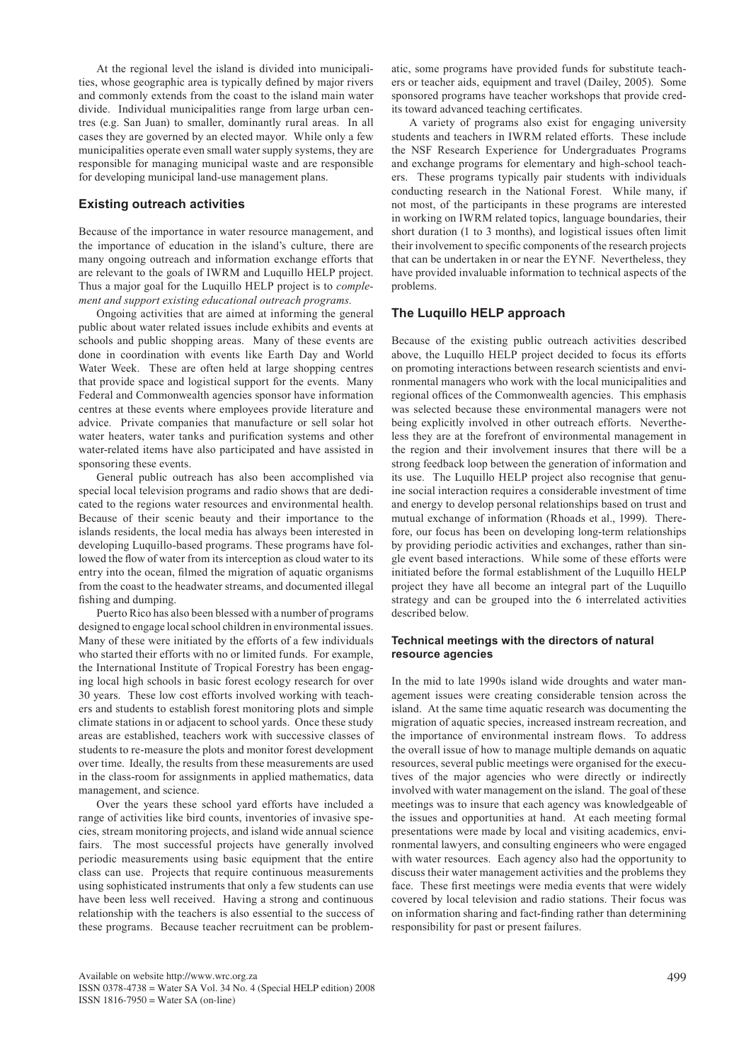At the regional level the island is divided into municipalities, whose geographic area is typically defined by major rivers and commonly extends from the coast to the island main water divide. Individual municipalities range from large urban centres (e.g. San Juan) to smaller, dominantly rural areas. In all cases they are governed by an elected mayor. While only a few municipalities operate even small water supply systems, they are responsible for managing municipal waste and are responsible for developing municipal land-use management plans.

## **Existing outreach activities**

Because of the importance in water resource management, and the importance of education in the island's culture, there are many ongoing outreach and information exchange efforts that are relevant to the goals of IWRM and Luquillo HELP project. Thus a major goal for the Luquillo HELP project is to *complement and support existing educational outreach programs.*

Ongoing activities that are aimed at informing the general public about water related issues include exhibits and events at schools and public shopping areas. Many of these events are done in coordination with events like Earth Day and World Water Week. These are often held at large shopping centres that provide space and logistical support for the events. Many Federal and Commonwealth agencies sponsor have information centres at these events where employees provide literature and advice. Private companies that manufacture or sell solar hot water heaters, water tanks and purification systems and other water-related items have also participated and have assisted in sponsoring these events.

General public outreach has also been accomplished via special local television programs and radio shows that are dedicated to the regions water resources and environmental health. Because of their scenic beauty and their importance to the islands residents, the local media has always been interested in developing Luquillo-based programs. These programs have followed the flow of water from its interception as cloud water to its entry into the ocean, filmed the migration of aquatic organisms from the coast to the headwater streams, and documented illegal fishing and dumping.

Puerto Rico has also been blessed with a number of programs designed to engage local school children in environmental issues. Many of these were initiated by the efforts of a few individuals who started their efforts with no or limited funds. For example, the International Institute of Tropical Forestry has been engaging local high schools in basic forest ecology research for over 30 years. These low cost efforts involved working with teachers and students to establish forest monitoring plots and simple climate stations in or adjacent to school yards. Once these study areas are established, teachers work with successive classes of students to re-measure the plots and monitor forest development over time. Ideally, the results from these measurements are used in the class-room for assignments in applied mathematics, data management, and science.

Over the years these school yard efforts have included a range of activities like bird counts, inventories of invasive species, stream monitoring projects, and island wide annual science fairs. The most successful projects have generally involved periodic measurements using basic equipment that the entire class can use. Projects that require continuous measurements using sophisticated instruments that only a few students can use have been less well received. Having a strong and continuous relationship with the teachers is also essential to the success of these programs. Because teacher recruitment can be problematic, some programs have provided funds for substitute teachers or teacher aids, equipment and travel (Dailey, 2005). Some sponsored programs have teacher workshops that provide credits toward advanced teaching certificates.

A variety of programs also exist for engaging university students and teachers in IWRM related efforts. These include the NSF Research Experience for Undergraduates Programs and exchange programs for elementary and high-school teachers. These programs typically pair students with individuals conducting research in the National Forest. While many, if not most, of the participants in these programs are interested in working on IWRM related topics, language boundaries, their short duration (1 to 3 months), and logistical issues often limit their involvement to specific components of the research projects that can be undertaken in or near the EYNF. Nevertheless, they have provided invaluable information to technical aspects of the problems.

# **The Luquillo HELP approach**

Because of the existing public outreach activities described above, the Luquillo HELP project decided to focus its efforts on promoting interactions between research scientists and environmental managers who work with the local municipalities and regional offices of the Commonwealth agencies. This emphasis was selected because these environmental managers were not being explicitly involved in other outreach efforts. Nevertheless they are at the forefront of environmental management in the region and their involvement insures that there will be a strong feedback loop between the generation of information and its use. The Luquillo HELP project also recognise that genuine social interaction requires a considerable investment of time and energy to develop personal relationships based on trust and mutual exchange of information (Rhoads et al., 1999). Therefore, our focus has been on developing long-term relationships by providing periodic activities and exchanges, rather than single event based interactions. While some of these efforts were initiated before the formal establishment of the Luquillo HELP project they have all become an integral part of the Luquillo strategy and can be grouped into the 6 interrelated activities described below.

## **Technical meetings with the directors of natural resource agencies**

In the mid to late 1990s island wide droughts and water management issues were creating considerable tension across the island. At the same time aquatic research was documenting the migration of aquatic species, increased instream recreation, and the importance of environmental instream flows. To address the overall issue of how to manage multiple demands on aquatic resources, several public meetings were organised for the executives of the major agencies who were directly or indirectly involved with water management on the island. The goal of these meetings was to insure that each agency was knowledgeable of the issues and opportunities at hand. At each meeting formal presentations were made by local and visiting academics, environmental lawyers, and consulting engineers who were engaged with water resources. Each agency also had the opportunity to discuss their water management activities and the problems they face. These first meetings were media events that were widely covered by local television and radio stations. Their focus was on information sharing and fact-finding rather than determining responsibility for past or present failures.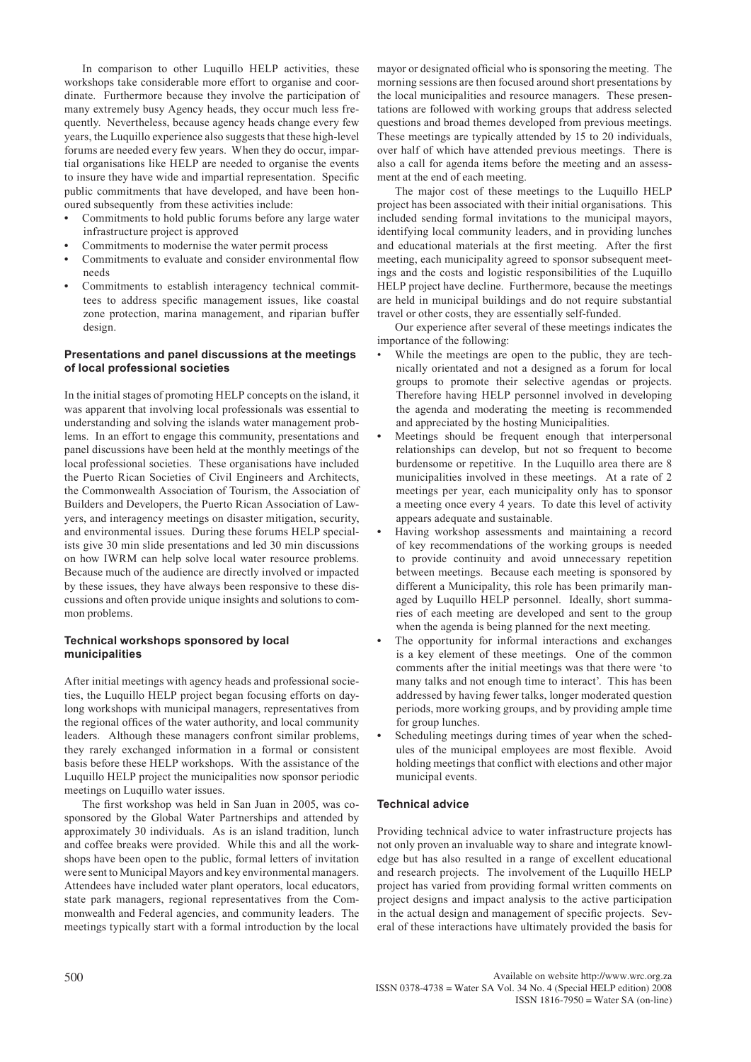In comparison to other Luquillo HELP activities, these workshops take considerable more effort to organise and coordinate. Furthermore because they involve the participation of many extremely busy Agency heads, they occur much less frequently. Nevertheless, because agency heads change every few years, the Luquillo experience also suggests that these high-level forums are needed every few years. When they do occur, impartial organisations like HELP are needed to organise the events to insure they have wide and impartial representation. Specific public commitments that have developed, and have been honoured subsequently from these activities include:

- **•** Commitments to hold public forums before any large water infrastructure project is approved
- **•** Commitments to modernise the water permit process
- **•** Commitments to evaluate and consider environmental flow needs
- **•** Commitments to establish interagency technical committees to address specific management issues, like coastal zone protection, marina management, and riparian buffer design.

# **Presentations and panel discussions at the meetings of local professional societies**

In the initial stages of promoting HELP concepts on the island, it was apparent that involving local professionals was essential to understanding and solving the islands water management problems. In an effort to engage this community, presentations and panel discussions have been held at the monthly meetings of the local professional societies. These organisations have included the Puerto Rican Societies of Civil Engineers and Architects, the Commonwealth Association of Tourism, the Association of Builders and Developers, the Puerto Rican Association of Lawyers, and interagency meetings on disaster mitigation, security, and environmental issues. During these forums HELP specialists give 30 min slide presentations and led 30 min discussions on how IWRM can help solve local water resource problems. Because much of the audience are directly involved or impacted by these issues, they have always been responsive to these discussions and often provide unique insights and solutions to common problems.

# **Technical workshops sponsored by local municipalities**

After initial meetings with agency heads and professional societies, the Luquillo HELP project began focusing efforts on daylong workshops with municipal managers, representatives from the regional offices of the water authority, and local community leaders. Although these managers confront similar problems, they rarely exchanged information in a formal or consistent basis before these HELP workshops. With the assistance of the Luquillo HELP project the municipalities now sponsor periodic meetings on Luquillo water issues.

The first workshop was held in San Juan in 2005, was cosponsored by the Global Water Partnerships and attended by approximately 30 individuals. As is an island tradition, lunch and coffee breaks were provided. While this and all the workshops have been open to the public, formal letters of invitation were sent to Municipal Mayors and key environmental managers. Attendees have included water plant operators, local educators, state park managers, regional representatives from the Commonwealth and Federal agencies, and community leaders. The meetings typically start with a formal introduction by the local

mayor or designated official who is sponsoring the meeting. The morning sessions are then focused around short presentations by the local municipalities and resource managers. These presentations are followed with working groups that address selected questions and broad themes developed from previous meetings. These meetings are typically attended by 15 to 20 individuals, over half of which have attended previous meetings. There is also a call for agenda items before the meeting and an assessment at the end of each meeting.

The major cost of these meetings to the Luquillo HELP project has been associated with their initial organisations. This included sending formal invitations to the municipal mayors, identifying local community leaders, and in providing lunches and educational materials at the first meeting. After the first meeting, each municipality agreed to sponsor subsequent meetings and the costs and logistic responsibilities of the Luquillo HELP project have decline. Furthermore, because the meetings are held in municipal buildings and do not require substantial travel or other costs, they are essentially self-funded.

Our experience after several of these meetings indicates the importance of the following:

- While the meetings are open to the public, they are technically orientated and not a designed as a forum for local groups to promote their selective agendas or projects. Therefore having HELP personnel involved in developing the agenda and moderating the meeting is recommended and appreciated by the hosting Municipalities.
- **•** Meetings should be frequent enough that interpersonal relationships can develop, but not so frequent to become burdensome or repetitive. In the Luquillo area there are 8 municipalities involved in these meetings. At a rate of 2 meetings per year, each municipality only has to sponsor a meeting once every 4 years. To date this level of activity appears adequate and sustainable.
- **•** Having workshop assessments and maintaining a record of key recommendations of the working groups is needed to provide continuity and avoid unnecessary repetition between meetings. Because each meeting is sponsored by different a Municipality, this role has been primarily managed by Luquillo HELP personnel. Ideally, short summaries of each meeting are developed and sent to the group when the agenda is being planned for the next meeting.
- **•** The opportunity for informal interactions and exchanges is a key element of these meetings. One of the common comments after the initial meetings was that there were 'to many talks and not enough time to interact'. This has been addressed by having fewer talks, longer moderated question periods, more working groups, and by providing ample time for group lunches.
- **•** Scheduling meetings during times of year when the schedules of the municipal employees are most flexible. Avoid holding meetings that conflict with elections and other major municipal events.

# **Technical advice**

Providing technical advice to water infrastructure projects has not only proven an invaluable way to share and integrate knowledge but has also resulted in a range of excellent educational and research projects. The involvement of the Luquillo HELP project has varied from providing formal written comments on project designs and impact analysis to the active participation in the actual design and management of specific projects. Several of these interactions have ultimately provided the basis for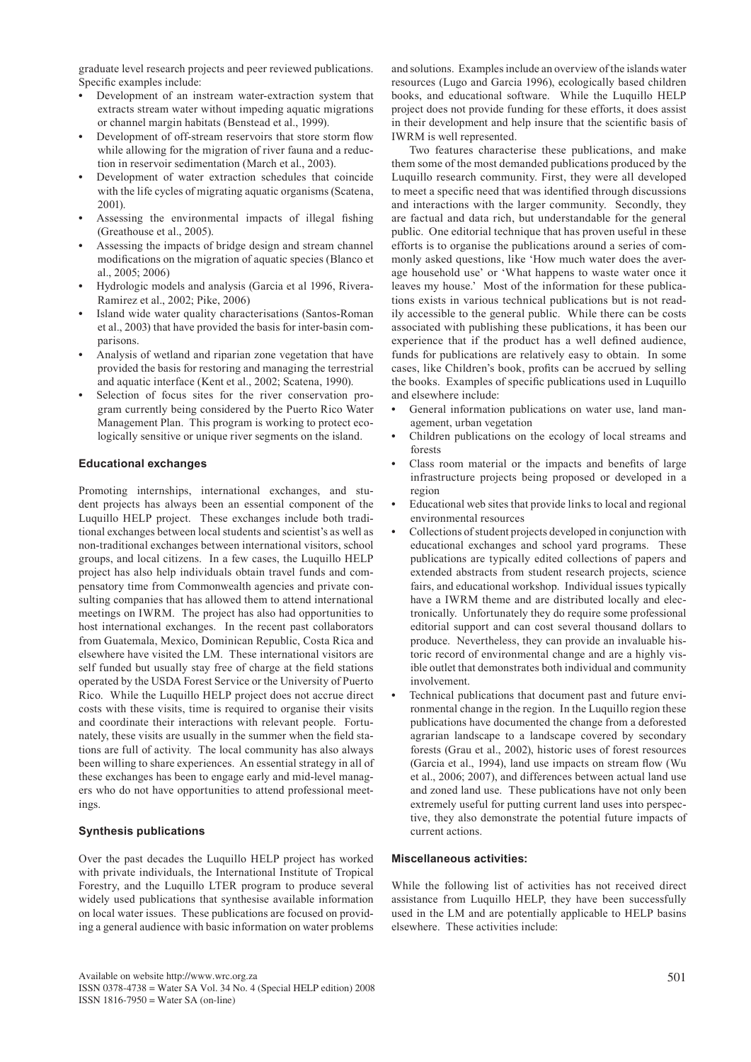graduate level research projects and peer reviewed publications. Specific examples include:

- **•** Development of an instream water-extraction system that extracts stream water without impeding aquatic migrations or channel margin habitats (Benstead et al., 1999).
- **•** Development of off-stream reservoirs that store storm flow while allowing for the migration of river fauna and a reduction in reservoir sedimentation (March et al., 2003).
- **•** Development of water extraction schedules that coincide with the life cycles of migrating aquatic organisms (Scatena, 2001).
- **•** Assessing the environmental impacts of illegal fishing (Greathouse et al., 2005).
- **•** Assessing the impacts of bridge design and stream channel modifications on the migration of aquatic species (Blanco et al., 2005; 2006)
- **•** Hydrologic models and analysis (Garcia et al 1996, Rivera-Ramirez et al., 2002; Pike, 2006)
- **•** Island wide water quality characterisations (Santos-Roman et al., 2003) that have provided the basis for inter-basin comparisons.
- **•** Analysis of wetland and riparian zone vegetation that have provided the basis for restoring and managing the terrestrial and aquatic interface (Kent et al., 2002; Scatena, 1990).
- **•** Selection of focus sites for the river conservation program currently being considered by the Puerto Rico Water Management Plan. This program is working to protect ecologically sensitive or unique river segments on the island.

# **Educational exchanges**

Promoting internships, international exchanges, and student projects has always been an essential component of the Luquillo HELP project. These exchanges include both traditional exchanges between local students and scientist's as well as non-traditional exchanges between international visitors, school groups, and local citizens. In a few cases, the Luquillo HELP project has also help individuals obtain travel funds and compensatory time from Commonwealth agencies and private consulting companies that has allowed them to attend international meetings on IWRM. The project has also had opportunities to host international exchanges. In the recent past collaborators from Guatemala, Mexico, Dominican Republic, Costa Rica and elsewhere have visited the LM. These international visitors are self funded but usually stay free of charge at the field stations operated by the USDA Forest Service or the University of Puerto Rico. While the Luquillo HELP project does not accrue direct costs with these visits, time is required to organise their visits and coordinate their interactions with relevant people. Fortunately, these visits are usually in the summer when the field stations are full of activity. The local community has also always been willing to share experiences. An essential strategy in all of these exchanges has been to engage early and mid-level managers who do not have opportunities to attend professional meetings.

## **Synthesis publications**

Over the past decades the Luquillo HELP project has worked with private individuals, the International Institute of Tropical Forestry, and the Luquillo LTER program to produce several widely used publications that synthesise available information on local water issues. These publications are focused on providing a general audience with basic information on water problems

and solutions. Examples include an overview of the islands water resources (Lugo and Garcia 1996), ecologically based children books, and educational software. While the Luquillo HELP project does not provide funding for these efforts, it does assist in their development and help insure that the scientific basis of IWRM is well represented.

Two features characterise these publications, and make them some of the most demanded publications produced by the Luquillo research community. First, they were all developed to meet a specific need that was identified through discussions and interactions with the larger community. Secondly, they are factual and data rich, but understandable for the general public. One editorial technique that has proven useful in these efforts is to organise the publications around a series of commonly asked questions, like 'How much water does the average household use' or 'What happens to waste water once it leaves my house.' Most of the information for these publications exists in various technical publications but is not readily accessible to the general public. While there can be costs associated with publishing these publications, it has been our experience that if the product has a well defined audience, funds for publications are relatively easy to obtain. In some cases, like Children's book, profits can be accrued by selling the books. Examples of specific publications used in Luquillo and elsewhere include:

- **•** General information publications on water use, land management, urban vegetation
- **•** Children publications on the ecology of local streams and forests
- **•** Class room material or the impacts and benefits of large infrastructure projects being proposed or developed in a region
- **•** Educational web sites that provide links to local and regional environmental resources
- **•** Collections of student projects developed in conjunction with educational exchanges and school yard programs. These publications are typically edited collections of papers and extended abstracts from student research projects, science fairs, and educational workshop. Individual issues typically have a IWRM theme and are distributed locally and electronically. Unfortunately they do require some professional editorial support and can cost several thousand dollars to produce. Nevertheless, they can provide an invaluable historic record of environmental change and are a highly visible outlet that demonstrates both individual and community involvement.
- **•** Technical publications that document past and future environmental change in the region. In the Luquillo region these publications have documented the change from a deforested agrarian landscape to a landscape covered by secondary forests (Grau et al., 2002), historic uses of forest resources (Garcia et al., 1994), land use impacts on stream flow (Wu et al., 2006; 2007), and differences between actual land use and zoned land use. These publications have not only been extremely useful for putting current land uses into perspective, they also demonstrate the potential future impacts of current actions.

## **Miscellaneous activities:**

While the following list of activities has not received direct assistance from Luquillo HELP, they have been successfully used in the LM and are potentially applicable to HELP basins elsewhere. These activities include: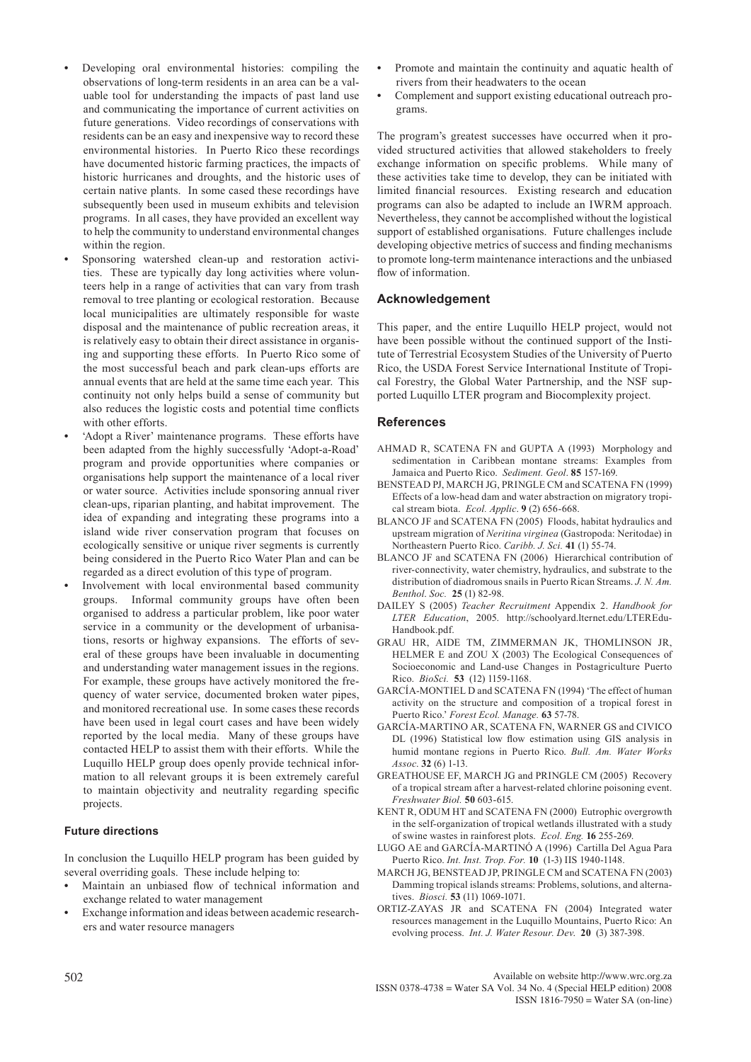- **•** Developing oral environmental histories: compiling the observations of long-term residents in an area can be a valuable tool for understanding the impacts of past land use and communicating the importance of current activities on future generations. Video recordings of conservations with residents can be an easy and inexpensive way to record these environmental histories. In Puerto Rico these recordings have documented historic farming practices, the impacts of historic hurricanes and droughts, and the historic uses of certain native plants. In some cased these recordings have subsequently been used in museum exhibits and television programs. In all cases, they have provided an excellent way to help the community to understand environmental changes within the region.
- **•** Sponsoring watershed clean-up and restoration activities. These are typically day long activities where volunteers help in a range of activities that can vary from trash removal to tree planting or ecological restoration. Because local municipalities are ultimately responsible for waste disposal and the maintenance of public recreation areas, it is relatively easy to obtain their direct assistance in organising and supporting these efforts. In Puerto Rico some of the most successful beach and park clean-ups efforts are annual events that are held at the same time each year. This continuity not only helps build a sense of community but also reduces the logistic costs and potential time conflicts with other efforts.
- **•** 'Adopt a River' maintenance programs. These efforts have been adapted from the highly successfully 'Adopt-a-Road' program and provide opportunities where companies or organisations help support the maintenance of a local river or water source. Activities include sponsoring annual river clean-ups, riparian planting, and habitat improvement. The idea of expanding and integrating these programs into a island wide river conservation program that focuses on ecologically sensitive or unique river segments is currently being considered in the Puerto Rico Water Plan and can be regarded as a direct evolution of this type of program.
- **•** Involvement with local environmental based community groups. Informal community groups have often been organised to address a particular problem, like poor water service in a community or the development of urbanisations, resorts or highway expansions. The efforts of several of these groups have been invaluable in documenting and understanding water management issues in the regions. For example, these groups have actively monitored the frequency of water service, documented broken water pipes, and monitored recreational use. In some cases these records have been used in legal court cases and have been widely reported by the local media. Many of these groups have contacted HELP to assist them with their efforts. While the Luquillo HELP group does openly provide technical information to all relevant groups it is been extremely careful to maintain objectivity and neutrality regarding specific projects.

## **Future directions**

In conclusion the Luquillo HELP program has been guided by several overriding goals. These include helping to:

- **•** Maintain an unbiased flow of technical information and exchange related to water management
- **•** Exchange information and ideas between academic researchers and water resource managers
- **•** Promote and maintain the continuity and aquatic health of rivers from their headwaters to the ocean
- **•** Complement and support existing educational outreach programs.

The program's greatest successes have occurred when it provided structured activities that allowed stakeholders to freely exchange information on specific problems. While many of these activities take time to develop, they can be initiated with limited financial resources. Existing research and education programs can also be adapted to include an IWRM approach. Nevertheless, they cannot be accomplished without the logistical support of established organisations. Future challenges include developing objective metrics of success and finding mechanisms to promote long-term maintenance interactions and the unbiased flow of information.

#### **Acknowledgement**

This paper, and the entire Luquillo HELP project, would not have been possible without the continued support of the Institute of Terrestrial Ecosystem Studies of the University of Puerto Rico, the USDA Forest Service International Institute of Tropical Forestry, the Global Water Partnership, and the NSF supported Luquillo LTER program and Biocomplexity project.

#### **References**

- AHMAD R, SCATENA FN and GUPTA A (1993) Morphology and sedimentation in Caribbean montane streams: Examples from Jamaica and Puerto Rico. *Sediment. Geol*. **85** 157-169.
- BENSTEAD PJ, MARCH JG, PRINGLE CM and SCATENA FN (1999) Effects of a low-head dam and water abstraction on migratory tropical stream biota. *Ecol. Applic*. **9** (2) 656-668.
- BLANCO JF and SCATENA FN (2005) Floods, habitat hydraulics and upstream migration of *Neritina virginea* (Gastropoda: Neritodae) in Northeastern Puerto Rico. *Caribb. J. Sci.* **41** (1) 55-74.
- BLANCO JF and SCATENA FN (2006) Hierarchical contribution of river-connectivity, water chemistry, hydraulics, and substrate to the distribution of diadromous snails in Puerto Rican Streams. *J. N. Am. Benthol*. *Soc.* **25** (1) 82-98.
- DAILEY S (2005) *Teacher Recruitment* Appendix 2. *Handbook for LTER Education*, 2005. http://schoolyard.lternet.edu/LTEREdu-Handbook.pdf.
- GRAU HR, AIDE TM, ZIMMERMAN JK, THOMLINSON JR, HELMER E and ZOU X (2003) The Ecological Consequences of Socioeconomic and Land-use Changes in Postagriculture Puerto Rico. *BioSci.* **53** (12) 1159-1168.
- GARCÍA-MONTIEL D and SCATENA FN (1994) 'The effect of human activity on the structure and composition of a tropical forest in Puerto Rico.' *Forest Ecol. Manage.* **63** 57-78.
- GARCÍA-MARTINO AR, SCATENA FN, WARNER GS and CIVICO DL (1996) Statistical low flow estimation using GIS analysis in humid montane regions in Puerto Rico. *Bull. Am. Water Works Assoc*. **32** (6) 1-13.
- GREATHOUSE EF, MARCH JG and PRINGLE CM (2005) Recovery of a tropical stream after a harvest-related chlorine poisoning event. *Freshwater Biol.* **50** 603-615.
- KENT R, ODUM HT and SCATENA FN (2000) Eutrophic overgrowth in the self-organization of tropical wetlands illustrated with a study of swine wastes in rainforest plots. *Ecol. Eng.* **16** 255-269.
- LUGO AE and GARCÍA-MARTINÓ A (1996) Cartilla Del Agua Para Puerto Rico. *Int. Inst. Trop. For.* **10** (1-3) IIS 1940-1148.
- MARCH JG, BENSTEAD JP, PRINGLE CM and SCATENA FN (2003) Damming tropical islands streams: Problems, solutions, and alternatives. *Biosci.* **53** (11) 1069-1071.
- ORTIZ-ZAYAS JR and SCATENA FN (2004) Integrated water resources management in the Luquillo Mountains, Puerto Rico: An evolving process. *Int. J. Water Resour. Dev*. **20** (3) 387-398.